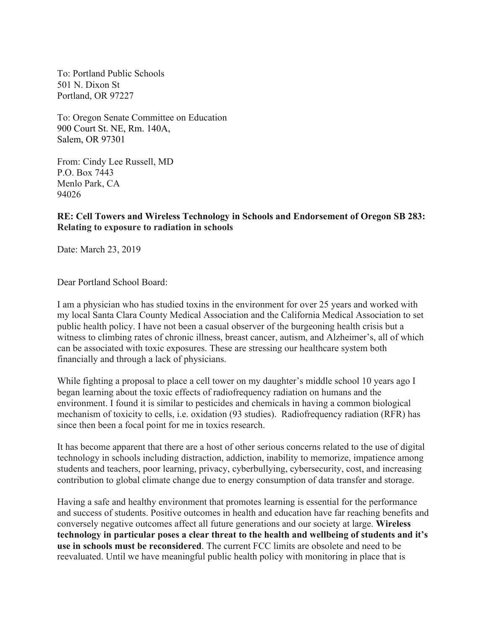To: Portland Public Schools 501 N. Dixon St Portland, OR 97227

To: Oregon Senate Committee on Education 900 Court St. NE, Rm. 140A, Salem, OR 97301

From: Cindy Lee Russell, MD P.O. Box 7443 Menlo Park, CA 94026

**RE: Cell Towers and Wireless Technology in Schools and Endorsement of Oregon SB 283: Relating to exposure to radiation in schools**

Date: March 23, 2019

Dear Portland School Board:

I am a physician who has studied toxins in the environment for over 25 years and worked with my local Santa Clara County Medical Association and the California Medical Association to set public health policy. I have not been a casual observer of the burgeoning health crisis but a witness to climbing rates of chronic illness, breast cancer, autism, and Alzheimer's, all of which can be associated with toxic exposures. These are stressing our healthcare system both financially and through a lack of physicians.

While fighting a proposal to place a cell tower on my daughter's middle school 10 years ago I began learning about the toxic effects of radiofrequency radiation on humans and the environment. I found it is similar to pesticides and chemicals in having a common biological mechanism of toxicity to cells, i.e. oxidation (93 studies). Radiofrequency radiation (RFR) has since then been a focal point for me in toxics research.

It has become apparent that there are a host of other serious concerns related to the use of digital technology in schools including distraction, addiction, inability to memorize, impatience among students and teachers, poor learning, privacy, cyberbullying, cybersecurity, cost, and increasing contribution to global climate change due to energy consumption of data transfer and storage.

Having a safe and healthy environment that promotes learning is essential for the performance and success of students. Positive outcomes in health and education have far reaching benefits and conversely negative outcomes affect all future generations and our society at large. **Wireless technology in particular poses a clear threat to the health and wellbeing of students and it's use in schools must be reconsidered**. The current FCC limits are obsolete and need to be reevaluated. Until we have meaningful public health policy with monitoring in place that is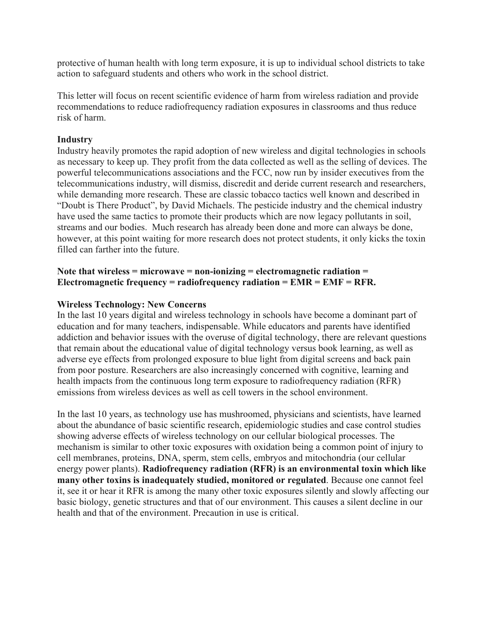protective of human health with long term exposure, it is up to individual school districts to take action to safeguard students and others who work in the school district.

This letter will focus on recent scientific evidence of harm from wireless radiation and provide recommendations to reduce radiofrequency radiation exposures in classrooms and thus reduce risk of harm.

### **Industry**

Industry heavily promotes the rapid adoption of new wireless and digital technologies in schools as necessary to keep up. They profit from the data collected as well as the selling of devices. The powerful telecommunications associations and the FCC, now run by insider executives from the telecommunications industry, will dismiss, discredit and deride current research and researchers, while demanding more research. These are classic tobacco tactics well known and described in "Doubt is There Product", by David Michaels. The pesticide industry and the chemical industry have used the same tactics to promote their products which are now legacy pollutants in soil, streams and our bodies. Much research has already been done and more can always be done, however, at this point waiting for more research does not protect students, it only kicks the toxin filled can farther into the future.

## **Note that wireless = microwave = non-ionizing = electromagnetic radiation = Electromagnetic frequency = radiofrequency radiation = EMR = EMF = RFR.**

### **Wireless Technology: New Concerns**

In the last 10 years digital and wireless technology in schools have become a dominant part of education and for many teachers, indispensable. While educators and parents have identified addiction and behavior issues with the overuse of digital technology, there are relevant questions that remain about the educational value of digital technology versus book learning, as well as adverse eye effects from prolonged exposure to blue light from digital screens and back pain from poor posture. Researchers are also increasingly concerned with cognitive, learning and health impacts from the continuous long term exposure to radiofrequency radiation (RFR) emissions from wireless devices as well as cell towers in the school environment.

In the last 10 years, as technology use has mushroomed, physicians and scientists, have learned about the abundance of basic scientific research, epidemiologic studies and case control studies showing adverse effects of wireless technology on our cellular biological processes. The mechanism is similar to other toxic exposures with oxidation being a common point of injury to cell membranes, proteins, DNA, sperm, stem cells, embryos and mitochondria (our cellular energy power plants). **Radiofrequency radiation (RFR) is an environmental toxin which like many other toxins is inadequately studied, monitored or regulated**. Because one cannot feel it, see it or hear it RFR is among the many other toxic exposures silently and slowly affecting our basic biology, genetic structures and that of our environment. This causes a silent decline in our health and that of the environment. Precaution in use is critical.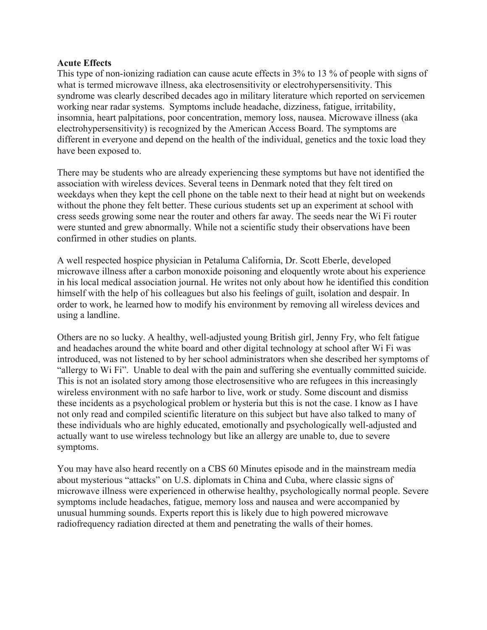#### **Acute Effects**

This type of non-ionizing radiation can cause acute effects in 3% to 13 % of people with signs of what is termed microwave illness, aka electrosensitivity or electrohypersensitivity. This syndrome was clearly described decades ago in military literature which reported on servicemen working near radar systems. Symptoms include headache, dizziness, fatigue, irritability, insomnia, heart palpitations, poor concentration, memory loss, nausea. Microwave illness (aka electrohypersensitivity) is recognized by the American Access Board. The symptoms are different in everyone and depend on the health of the individual, genetics and the toxic load they have been exposed to.

There may be students who are already experiencing these symptoms but have not identified the association with wireless devices. Several teens in Denmark noted that they felt tired on weekdays when they kept the cell phone on the table next to their head at night but on weekends without the phone they felt better. These curious students set up an experiment at school with cress seeds growing some near the router and others far away. The seeds near the Wi Fi router were stunted and grew abnormally. While not a scientific study their observations have been confirmed in other studies on plants.

A well respected hospice physician in Petaluma California, Dr. Scott Eberle, developed microwave illness after a carbon monoxide poisoning and eloquently wrote about his experience in his local medical association journal. He writes not only about how he identified this condition himself with the help of his colleagues but also his feelings of guilt, isolation and despair. In order to work, he learned how to modify his environment by removing all wireless devices and using a landline.

Others are no so lucky. A healthy, well-adjusted young British girl, Jenny Fry, who felt fatigue and headaches around the white board and other digital technology at school after Wi Fi was introduced, was not listened to by her school administrators when she described her symptoms of "allergy to Wi Fi". Unable to deal with the pain and suffering she eventually committed suicide. This is not an isolated story among those electrosensitive who are refugees in this increasingly wireless environment with no safe harbor to live, work or study. Some discount and dismiss these incidents as a psychological problem or hysteria but this is not the case. I know as I have not only read and compiled scientific literature on this subject but have also talked to many of these individuals who are highly educated, emotionally and psychologically well-adjusted and actually want to use wireless technology but like an allergy are unable to, due to severe symptoms.

You may have also heard recently on a CBS 60 Minutes episode and in the mainstream media about mysterious "attacks" on U.S. diplomats in China and Cuba, where classic signs of microwave illness were experienced in otherwise healthy, psychologically normal people. Severe symptoms include headaches, fatigue, memory loss and nausea and were accompanied by unusual humming sounds. Experts report this is likely due to high powered microwave radiofrequency radiation directed at them and penetrating the walls of their homes.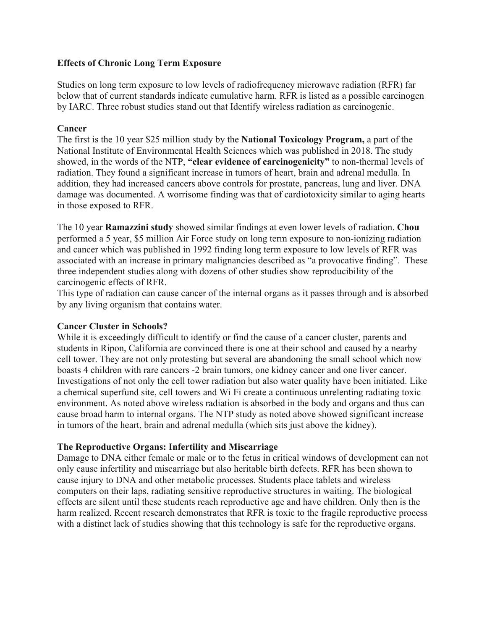### **Effects of Chronic Long Term Exposure**

Studies on long term exposure to low levels of radiofrequency microwave radiation (RFR) far below that of current standards indicate cumulative harm. RFR is listed as a possible carcinogen by IARC. Three robust studies stand out that Identify wireless radiation as carcinogenic.

### **Cancer**

The first is the 10 year \$25 million study by the **National Toxicology Program,** a part of the National Institute of Environmental Health Sciences which was published in 2018. The study showed, in the words of the NTP, **"clear evidence of carcinogenicity"** to non-thermal levels of radiation. They found a significant increase in tumors of heart, brain and adrenal medulla. In addition, they had increased cancers above controls for prostate, pancreas, lung and liver. DNA damage was documented. A worrisome finding was that of cardiotoxicity similar to aging hearts in those exposed to RFR.

The 10 year **Ramazzini study** showed similar findings at even lower levels of radiation. **Chou** performed a 5 year, \$5 million Air Force study on long term exposure to non-ionizing radiation and cancer which was published in 1992 finding long term exposure to low levels of RFR was associated with an increase in primary malignancies described as "a provocative finding". These three independent studies along with dozens of other studies show reproducibility of the carcinogenic effects of RFR.

This type of radiation can cause cancer of the internal organs as it passes through and is absorbed by any living organism that contains water.

## **Cancer Cluster in Schools?**

While it is exceedingly difficult to identify or find the cause of a cancer cluster, parents and students in Ripon, California are convinced there is one at their school and caused by a nearby cell tower. They are not only protesting but several are abandoning the small school which now boasts 4 children with rare cancers -2 brain tumors, one kidney cancer and one liver cancer. Investigations of not only the cell tower radiation but also water quality have been initiated. Like a chemical superfund site, cell towers and Wi Fi create a continuous unrelenting radiating toxic environment. As noted above wireless radiation is absorbed in the body and organs and thus can cause broad harm to internal organs. The NTP study as noted above showed significant increase in tumors of the heart, brain and adrenal medulla (which sits just above the kidney).

## **The Reproductive Organs: Infertility and Miscarriage**

Damage to DNA either female or male or to the fetus in critical windows of development can not only cause infertility and miscarriage but also heritable birth defects. RFR has been shown to cause injury to DNA and other metabolic processes. Students place tablets and wireless computers on their laps, radiating sensitive reproductive structures in waiting. The biological effects are silent until these students reach reproductive age and have children. Only then is the harm realized. Recent research demonstrates that RFR is toxic to the fragile reproductive process with a distinct lack of studies showing that this technology is safe for the reproductive organs.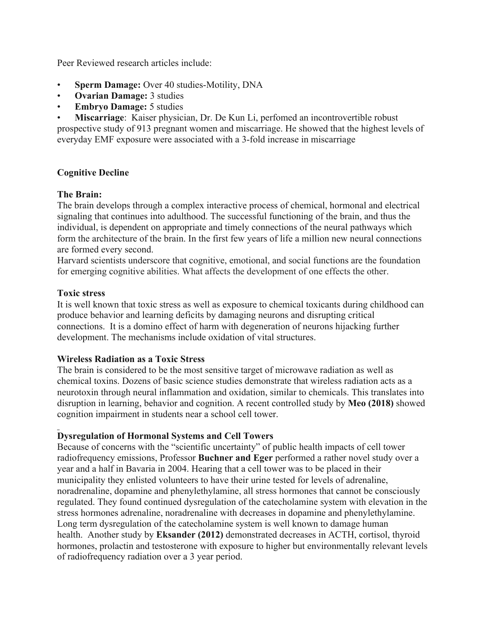Peer Reviewed research articles include:

- **Sperm Damage:** Over 40 studies-Motility, DNA
- **Ovarian Damage:** 3 studies
- **Embryo Damage:** 5 studies

• **Miscarriage**: Kaiser physician, Dr. De Kun Li, perfomed an incontrovertible robust prospective study of 913 pregnant women and miscarriage. He showed that the highest levels of everyday EMF exposure were associated with a 3-fold increase in miscarriage

## **Cognitive Decline**

## **The Brain:**

The brain develops through a complex interactive process of chemical, hormonal and electrical signaling that continues into adulthood. The successful functioning of the brain, and thus the individual, is dependent on appropriate and timely connections of the neural pathways which form the architecture of the brain. In the first few years of life a million new neural connections are formed every second.

Harvard scientists underscore that cognitive, emotional, and social functions are the foundation for emerging cognitive abilities. What affects the development of one effects the other.

### **Toxic stress**

It is well known that toxic stress as well as exposure to chemical toxicants during childhood can produce behavior and learning deficits by damaging neurons and disrupting critical connections. It is a domino effect of harm with degeneration of neurons hijacking further development. The mechanisms include oxidation of vital structures.

## **Wireless Radiation as a Toxic Stress**

The brain is considered to be the most sensitive target of microwave radiation as well as chemical toxins. Dozens of basic science studies demonstrate that wireless radiation acts as a neurotoxin through neural inflammation and oxidation, similar to chemicals. This translates into disruption in learning, behavior and cognition. A recent controlled study by **Meo (2018)** showed cognition impairment in students near a school cell tower.

## **Dysregulation of Hormonal Systems and Cell Towers**

Because of concerns with the "scientific uncertainty" of public health impacts of cell tower radiofrequency emissions, Professor **Buchner and Eger** performed a rather novel study over a year and a half in Bavaria in 2004. Hearing that a cell tower was to be placed in their municipality they enlisted volunteers to have their urine tested for levels of adrenaline, noradrenaline, dopamine and phenylethylamine, all stress hormones that cannot be consciously regulated. They found continued dysregulation of the catecholamine system with elevation in the stress hormones adrenaline, noradrenaline with decreases in dopamine and phenylethylamine. Long term dysregulation of the catecholamine system is well known to damage human health. Another study by **Eksander (2012)** demonstrated decreases in ACTH, cortisol, thyroid hormones, prolactin and testosterone with exposure to higher but environmentally relevant levels of radiofrequency radiation over a 3 year period.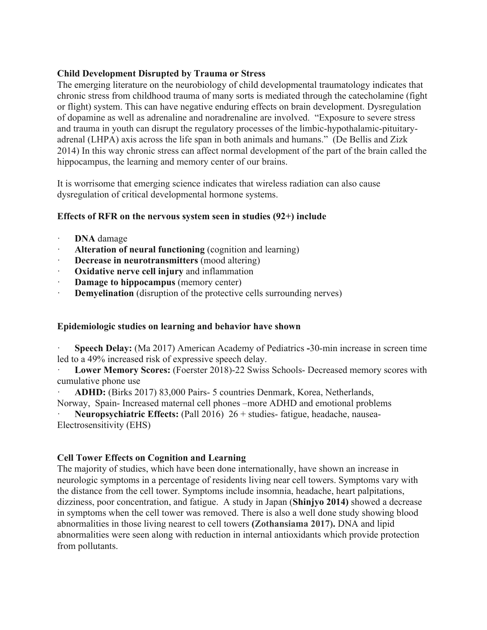### **Child Development Disrupted by Trauma or Stress**

The emerging literature on the neurobiology of child developmental traumatology indicates that chronic stress from childhood trauma of many sorts is mediated through the catecholamine (fight or flight) system. This can have negative enduring effects on brain development. Dysregulation of dopamine as well as adrenaline and noradrenaline are involved. "Exposure to severe stress and trauma in youth can disrupt the regulatory processes of the limbic-hypothalamic-pituitaryadrenal (LHPA) axis across the life span in both animals and humans." (De Bellis and Zizk 2014) In this way chronic stress can affect normal development of the part of the brain called the hippocampus, the learning and memory center of our brains.

It is worrisome that emerging science indicates that wireless radiation can also cause dysregulation of critical developmental hormone systems.

## **Effects of RFR on the nervous system seen in studies (92+) include**

- · **DNA** damage
- · **Alteration of neural functioning** (cognition and learning)
- **Decrease in neurotransmitters** (mood altering)
- **Oxidative nerve cell injury** and inflammation
- **Damage to hippocampus** (memory center)
- **Demyelination** (disruption of the protective cells surrounding nerves)

## **Epidemiologic studies on learning and behavior have shown**

· **Speech Delay:** (Ma 2017) American Academy of Pediatrics **-**30-min increase in screen time led to a 49% increased risk of expressive speech delay.

Lower Memory Scores: (Foerster 2018)-22 Swiss Schools- Decreased memory scores with cumulative phone use

· **ADHD:** (Birks 2017) 83,000 Pairs- 5 countries Denmark, Korea, Netherlands, Norway, Spain- Increased maternal cell phones –more ADHD and emotional problems

· **Neuropsychiatric Effects:** (Pall 2016) 26 + studies- fatigue, headache, nausea-Electrosensitivity (EHS)

## **Cell Tower Effects on Cognition and Learning**

The majority of studies, which have been done internationally, have shown an increase in neurologic symptoms in a percentage of residents living near cell towers. Symptoms vary with the distance from the cell tower. Symptoms include insomnia, headache, heart palpitations, dizziness, poor concentration, and fatigue. A study in Japan (**Shinjyo 2014)** showed a decrease in symptoms when the cell tower was removed. There is also a well done study showing blood abnormalities in those living nearest to cell towers **(Zothansiama 2017).** DNA and lipid abnormalities were seen along with reduction in internal antioxidants which provide protection from pollutants.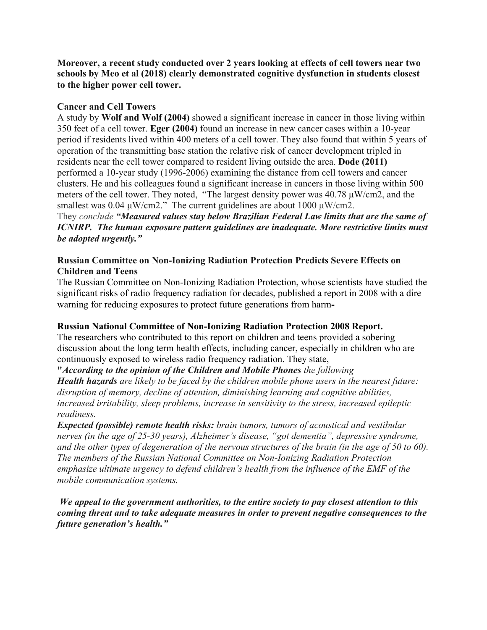**Moreover, a recent study conducted over 2 years looking at effects of cell towers near two schools by Meo et al (2018) clearly demonstrated cognitive dysfunction in students closest to the higher power cell tower.**

#### **Cancer and Cell Towers**

A study by **Wolf and Wolf (2004)** showed a significant increase in cancer in those living within 350 feet of a cell tower. **Eger (2004)** found an increase in new cancer cases within a 10-year period if residents lived within 400 meters of a cell tower. They also found that within 5 years of operation of the transmitting base station the relative risk of cancer development tripled in residents near the cell tower compared to resident living outside the area. **Dode (2011)**  performed a 10-year study (1996-2006) examining the distance from cell towers and cancer clusters. He and his colleagues found a significant increase in cancers in those living within 500 meters of the cell tower. They noted, "The largest density power was 40.78 µW/cm2, and the smallest was  $0.04 \mu W/cm2$ ." The current guidelines are about  $1000 \mu W/cm2$ .

They *conclude "Measured values stay below Brazilian Federal Law limits that are the same of ICNIRP. The human exposure pattern guidelines are inadequate. More restrictive limits must be adopted urgently."*

### **Russian Committee on Non-Ionizing Radiation Protection Predicts Severe Effects on Children and Teens**

The Russian Committee on Non-Ionizing Radiation Protection, whose scientists have studied the significant risks of radio frequency radiation for decades, published a report in 2008 with a dire warning for reducing exposures to protect future generations from harm**-**

## **Russian National Committee of Non-Ionizing Radiation Protection 2008 Report.**

The researchers who contributed to this report on children and teens provided a sobering discussion about the long term health effects, including cancer, especially in children who are continuously exposed to wireless radio frequency radiation. They state,

## **"***According to the opinion of the Children and Mobile Phones the following*

*Health hazards are likely to be faced by the children mobile phone users in the nearest future: disruption of memory, decline of attention, diminishing learning and cognitive abilities, increased irritability, sleep problems, increase in sensitivity to the stress, increased epileptic readiness.*

*Expected (possible) remote health risks: brain tumors, tumors of acoustical and vestibular nerves (in the age of 25-30 years), Alzheimer's disease, "got dementia", depressive syndrome, and the other types of degeneration of the nervous structures of the brain (in the age of 50 to 60). The members of the Russian National Committee on Non-Ionizing Radiation Protection emphasize ultimate urgency to defend children's health from the influence of the EMF of the mobile communication systems.*

*We appeal to the government authorities, to the entire society to pay closest attention to this coming threat and to take adequate measures in order to prevent negative consequences to the future generation's health."*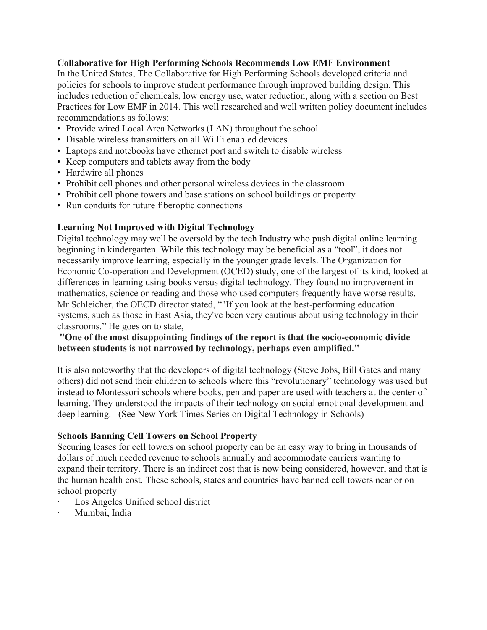### **Collaborative for High Performing Schools Recommends Low EMF Environment**

In the United States, The Collaborative for High Performing Schools developed criteria and policies for schools to improve student performance through improved building design. This includes reduction of chemicals, low energy use, water reduction, along with a section on Best Practices for Low EMF in 2014. This well researched and well written policy document includes recommendations as follows:

- Provide wired Local Area Networks (LAN) throughout the school
- Disable wireless transmitters on all Wi Fi enabled devices
- Laptops and notebooks have ethernet port and switch to disable wireless
- Keep computers and tablets away from the body
- Hardwire all phones
- Prohibit cell phones and other personal wireless devices in the classroom
- Prohibit cell phone towers and base stations on school buildings or property
- Run conduits for future fiberoptic connections

### **Learning Not Improved with Digital Technology**

Digital technology may well be oversold by the tech Industry who push digital online learning beginning in kindergarten. While this technology may be beneficial as a "tool", it does not necessarily improve learning, especially in the younger grade levels. The Organization for Economic Co-operation and Development (OCED) study, one of the largest of its kind, looked at differences in learning using books versus digital technology. They found no improvement in mathematics, science or reading and those who used computers frequently have worse results. Mr Schleicher, the OECD director stated, ""If you look at the best-performing education systems, such as those in East Asia, they've been very cautious about using technology in their classrooms." He goes on to state,

## **"One of the most disappointing findings of the report is that the socio-economic divide between students is not narrowed by technology, perhaps even amplified."**

It is also noteworthy that the developers of digital technology (Steve Jobs, Bill Gates and many others) did not send their children to schools where this "revolutionary" technology was used but instead to Montessori schools where books, pen and paper are used with teachers at the center of learning. They understood the impacts of their technology on social emotional development and deep learning. (See New York Times Series on Digital Technology in Schools)

#### **Schools Banning Cell Towers on School Property**

Securing leases for cell towers on school property can be an easy way to bring in thousands of dollars of much needed revenue to schools annually and accommodate carriers wanting to expand their territory. There is an indirect cost that is now being considered, however, and that is the human health cost. These schools, states and countries have banned cell towers near or on school property

- Los Angeles Unified school district
- Mumbai, India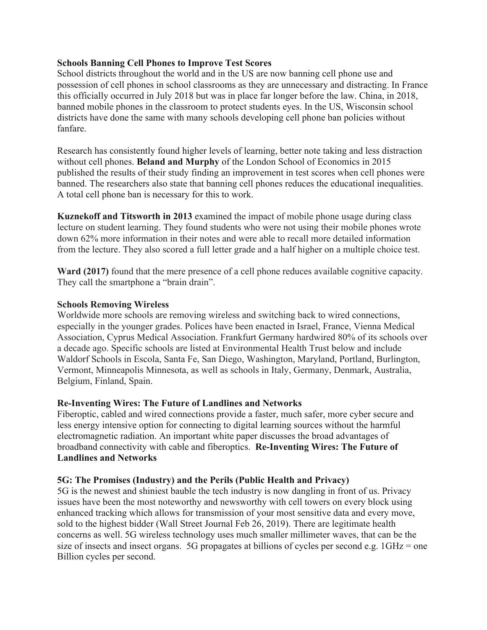### **Schools Banning Cell Phones to Improve Test Scores**

School districts throughout the world and in the US are now banning cell phone use and possession of cell phones in school classrooms as they are unnecessary and distracting. In France this officially occurred in July 2018 but was in place far longer before the law. China, in 2018, banned mobile phones in the classroom to protect students eyes. In the US, Wisconsin school districts have done the same with many schools developing cell phone ban policies without fanfare.

Research has consistently found higher levels of learning, better note taking and less distraction without cell phones. **Beland and Murphy** of the London School of Economics in 2015 published the results of their study finding an improvement in test scores when cell phones were banned. The researchers also state that banning cell phones reduces the educational inequalities. A total cell phone ban is necessary for this to work.

**Kuznekoff and Titsworth in 2013** examined the impact of mobile phone usage during class lecture on student learning. They found students who were not using their mobile phones wrote down 62% more information in their notes and were able to recall more detailed information from the lecture. They also scored a full letter grade and a half higher on a multiple choice test.

**Ward (2017)** found that the mere presence of a cell phone reduces available cognitive capacity. They call the smartphone a "brain drain".

#### **Schools Removing Wireless**

Worldwide more schools are removing wireless and switching back to wired connections, especially in the younger grades. Polices have been enacted in Israel, France, Vienna Medical Association, Cyprus Medical Association. Frankfurt Germany hardwired 80% of its schools over a decade ago. Specific schools are listed at Environmental Health Trust below and include Waldorf Schools in Escola, Santa Fe, San Diego, Washington, Maryland, Portland, Burlington, Vermont, Minneapolis Minnesota, as well as schools in Italy, Germany, Denmark, Australia, Belgium, Finland, Spain.

#### **Re-Inventing Wires: The Future of Landlines and Networks**

Fiberoptic, cabled and wired connections provide a faster, much safer, more cyber secure and less energy intensive option for connecting to digital learning sources without the harmful electromagnetic radiation. An important white paper discusses the broad advantages of broadband connectivity with cable and fiberoptics. **Re-Inventing Wires: The Future of Landlines and Networks**

## **5G: The Promises (Industry) and the Perils (Public Health and Privacy)**

5G is the newest and shiniest bauble the tech industry is now dangling in front of us. Privacy issues have been the most noteworthy and newsworthy with cell towers on every block using enhanced tracking which allows for transmission of your most sensitive data and every move, sold to the highest bidder (Wall Street Journal Feb 26, 2019). There are legitimate health concerns as well. 5G wireless technology uses much smaller millimeter waves, that can be the size of insects and insect organs. 5G propagates at billions of cycles per second e.g. 1GHz = one Billion cycles per second.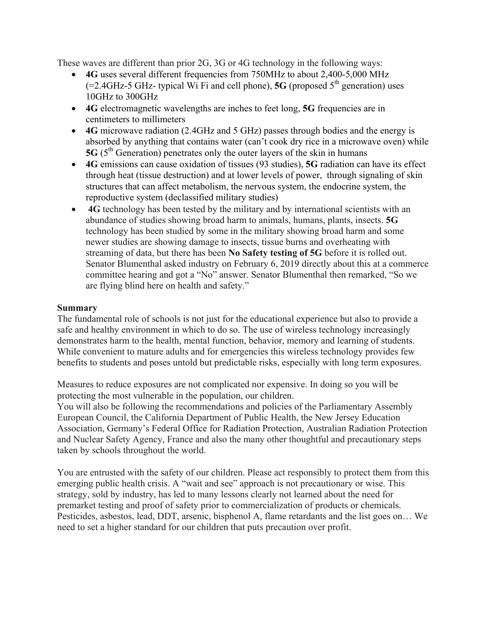These waves are different than prior 2G, 3G or 4G technology in the following ways:

- **4G** uses several different frequencies from 750MHz to about 2,400-5,000 MHz  $(=2.4\text{GHz}-5 \text{ GHz}$ - typical Wi Fi and cell phone), **5G** (proposed  $5^{\text{th}}$  generation) uses 10GHz to 300GHz
- **4G** electromagnetic wavelengths are inches to feet long, **5G** frequencies are in centimeters to millimeters
- **4G** microwave radiation (2.4GHz and 5 GHz) passes through bodies and the energy is absorbed by anything that contains water (can't cook dry rice in a microwave oven) while **5G** ( $5<sup>th</sup>$  Generation) penetrates only the outer layers of the skin in humans
- **4G** emissions can cause oxidation of tissues (93 studies), **5G** radiation can have its effect through heat (tissue destruction) and at lower levels of power, through signaling of skin structures that can affect metabolism, the nervous system, the endocrine system, the reproductive system (declassified military studies)
- **4G** technology has been tested by the military and by international scientists with an abundance of studies showing broad harm to animals, humans, plants, insects. **5G** technology has been studied by some in the military showing broad harm and some newer studies are showing damage to insects, tissue burns and overheating with streaming of data, but there has been **No Safety testing of 5G** before it is rolled out. Senator Blumenthal asked industry on February 6, 2019 directly about this at a commerce committee hearing and got a "No" answer. Senator Blumenthal then remarked, "So we are flying blind here on health and safety."

## **Summary**

The fundamental role of schools is not just for the educational experience but also to provide a safe and healthy environment in which to do so. The use of wireless technology increasingly demonstrates harm to the health, mental function, behavior, memory and learning of students. While convenient to mature adults and for emergencies this wireless technology provides few benefits to students and poses untold but predictable risks, especially with long term exposures.

Measures to reduce exposures are not complicated nor expensive. In doing so you will be protecting the most vulnerable in the population, our children.

You will also be following the recommendations and policies of the Parliamentary Assembly European Council, the California Department of Public Health, the New Jersey Education Association, Germany's Federal Office for Radiation Protection, Australian Radiation Protection and Nuclear Safety Agency, France and also the many other thoughtful and precautionary steps taken by schools throughout the world.

You are entrusted with the safety of our children. Please act responsibly to protect them from this emerging public health crisis. A "wait and see" approach is not precautionary or wise. This strategy, sold by industry, has led to many lessons clearly not learned about the need for premarket testing and proof of safety prior to commercialization of products or chemicals. Pesticides, asbestos, lead, DDT, arsenic, bisphenol A, flame retardants and the list goes on… We need to set a higher standard for our children that puts precaution over profit.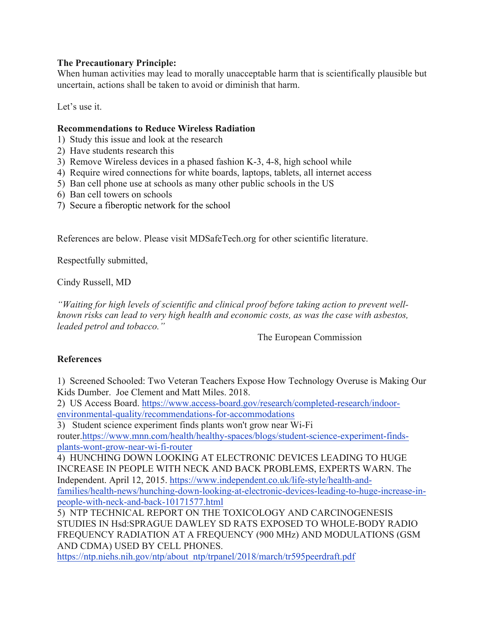## **The Precautionary Principle:**

When human activities may lead to morally unacceptable harm that is scientifically plausible but uncertain, actions shall be taken to avoid or diminish that harm.

Let's use it.

## **Recommendations to Reduce Wireless Radiation**

- 1) Study this issue and look at the research
- 2) Have students research this
- 3) Remove Wireless devices in a phased fashion K-3, 4-8, high school while
- 4) Require wired connections for white boards, laptops, tablets, all internet access
- 5) Ban cell phone use at schools as many other public schools in the US
- 6) Ban cell towers on schools
- 7) Secure a fiberoptic network for the school

References are below. Please visit MDSafeTech.org for other scientific literature.

Respectfully submitted,

Cindy Russell, MD

*"Waiting for high levels of scientific and clinical proof before taking action to prevent wellknown risks can lead to very high health and economic costs, as was the case with asbestos, leaded petrol and tobacco."*

The European Commission

# **References**

1) Screened Schooled: Two Veteran Teachers Expose How Technology Overuse is Making Our Kids Dumber. Joe Clement and Matt Miles. 2018.

2) US Access Board. https://www.access-board.gov/research/completed-research/indoorenvironmental-quality/recommendations-for-accommodations

3) Student science experiment finds plants won't grow near Wi-Fi router.https://www.mnn.com/health/healthy-spaces/blogs/student-science-experiment-findsplants-wont-grow-near-wi-fi-router

4) HUNCHING DOWN LOOKING AT ELECTRONIC DEVICES LEADING TO HUGE INCREASE IN PEOPLE WITH NECK AND BACK PROBLEMS, EXPERTS WARN. The Independent. April 12, 2015. https://www.independent.co.uk/life-style/health-andfamilies/health-news/hunching-down-looking-at-electronic-devices-leading-to-huge-increase-inpeople-with-neck-and-back-10171577.html

5) NTP TECHNICAL REPORT ON THE TOXICOLOGY AND CARCINOGENESIS STUDIES IN Hsd:SPRAGUE DAWLEY SD RATS EXPOSED TO WHOLE-BODY RADIO FREQUENCY RADIATION AT A FREQUENCY (900 MHz) AND MODULATIONS (GSM AND CDMA) USED BY CELL PHONES.

https://ntp.niehs.nih.gov/ntp/about\_ntp/trpanel/2018/march/tr595peerdraft.pdf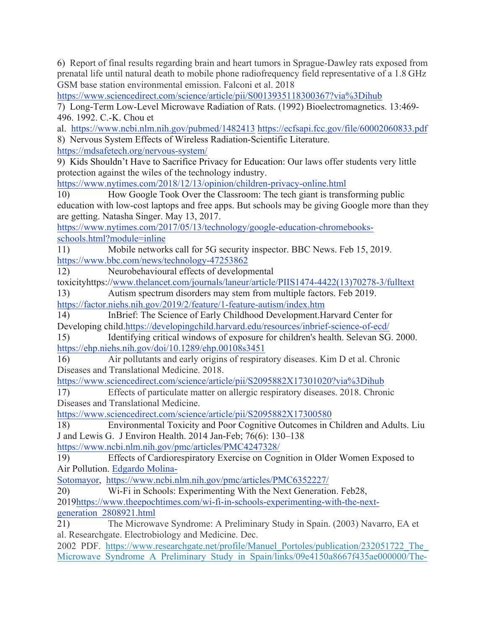6) Report of final results regarding brain and heart tumors in Sprague-Dawley rats exposed from prenatal life until natural death to mobile phone radiofrequency field representative of a 1.8 GHz GSM base station environmental emission. Falconi et al. 2018

https://www.sciencedirect.com/science/article/pii/S0013935118300367?via%3Dihub

7) Long-Term Low-Level Microwave Radiation of Rats. (1992) Bioelectromagnetics. 13:469- 496. 1992. C.-K. Chou et

al. https://www.ncbi.nlm.nih.gov/pubmed/1482413 https://ecfsapi.fcc.gov/file/60002060833.pdf

8) Nervous System Effects of Wireless Radiation-Scientific Literature. https://mdsafetech.org/nervous-system/

9) Kids Shouldn't Have to Sacrifice Privacy for Education: Our laws offer students very little protection against the wiles of the technology industry.

https://www.nytimes.com/2018/12/13/opinion/children-privacy-online.html

10) How Google Took Over the Classroom: The tech giant is transforming public education with low-cost laptops and free apps. But schools may be giving Google more than they are getting. Natasha Singer. May 13, 2017.

https://www.nytimes.com/2017/05/13/technology/google-education-chromebooksschools.html?module=inline

11) Mobile networks call for 5G security inspector. BBC News. Feb 15, 2019. https://www.bbc.com/news/technology-47253862

12) Neurobehavioural effects of developmental

toxicityhttps://www.thelancet.com/journals/laneur/article/PIIS1474-4422(13)70278-3/fulltext

13) Autism spectrum disorders may stem from multiple factors. Feb 2019. https://factor.niehs.nih.gov/2019/2/feature/1-feature-autism/index.htm

14) InBrief: The Science of Early Childhood Development.Harvard Center for Developing child.https://developingchild.harvard.edu/resources/inbrief-science-of-ecd/

15) Identifying critical windows of exposure for children's health. Selevan SG. 2000. https://ehp.niehs.nih.gov/doi/10.1289/ehp.00108s3451

16) Air pollutants and early origins of respiratory diseases. Kim D et al. Chronic Diseases and Translational Medicine. 2018.

https://www.sciencedirect.com/science/article/pii/S2095882X17301020?via%3Dihub

17) Effects of particulate matter on allergic respiratory diseases. 2018. Chronic Diseases and Translational Medicine.

https://www.sciencedirect.com/science/article/pii/S2095882X17300580

18) Environmental Toxicity and Poor Cognitive Outcomes in Children and Adults. Liu J and Lewis G. J Environ Health. 2014 Jan-Feb; 76(6): 130–138

https://www.ncbi.nlm.nih.gov/pmc/articles/PMC4247328/

19) Effects of Cardiorespiratory Exercise on Cognition in Older Women Exposed to Air Pollution. Edgardo Molina-

Sotomayor, https://www.ncbi.nlm.nih.gov/pmc/articles/PMC6352227/

20) Wi-Fi in Schools: Experimenting With the Next Generation. Feb28, 2019https://www.theepochtimes.com/wi-fi-in-schools-experimenting-with-the-nextgeneration\_2808921.html

21) The Microwave Syndrome: A Preliminary Study in Spain. (2003) Navarro, EA et al. Researchgate. Electrobiology and Medicine. Dec.

2002 PDF. https://www.researchgate.net/profile/Manuel\_Portoles/publication/232051722\_The\_ Microwave Syndrome A Preliminary Study in Spain/links/09e4150a8667f435ae000000/The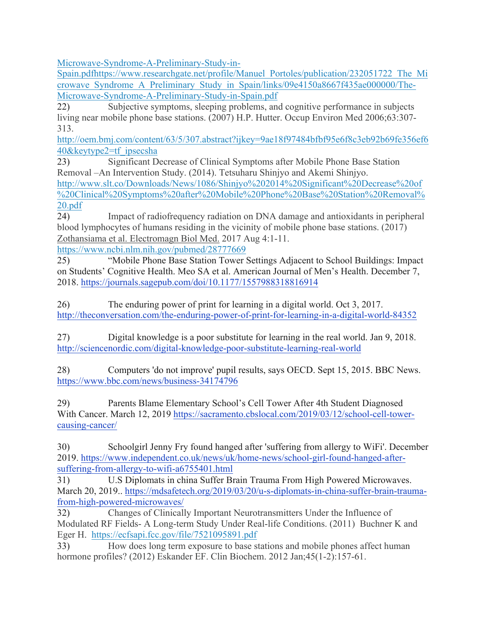Microwave-Syndrome-A-Preliminary-Study-in-

Spain.pdfhttps://www.researchgate.net/profile/Manuel\_Portoles/publication/232051722\_The\_Mi crowave\_Syndrome\_A\_Preliminary\_Study\_in\_Spain/links/09e4150a8667f435ae000000/The-Microwave-Syndrome-A-Preliminary-Study-in-Spain.pdf

22) Subjective symptoms, sleeping problems, and cognitive performance in subjects living near mobile phone base stations. (2007) H.P. Hutter. Occup Environ Med 2006;63:307- 313.

http://oem.bmj.com/content/63/5/307.abstract?ijkey=9ae18f97484bfbf95e6f8c3eb92b69fe356ef6 40&keytype2=tf\_ipsecsha

23) Significant Decrease of Clinical Symptoms after Mobile Phone Base Station Removal –An Intervention Study. (2014). Tetsuharu Shinjyo and Akemi Shinjyo.

http://www.slt.co/Downloads/News/1086/Shinjyo%202014%20Significant%20Decrease%20of %20Clinical%20Symptoms%20after%20Mobile%20Phone%20Base%20Station%20Removal% 20.pdf

24) Impact of radiofrequency radiation on DNA damage and antioxidants in peripheral blood lymphocytes of humans residing in the vicinity of mobile phone base stations. (2017) Zothansiama et al. Electromagn Biol Med. 2017 Aug 4:1-11.

https://www.ncbi.nlm.nih.gov/pubmed/28777669

25) "Mobile Phone Base Station Tower Settings Adjacent to School Buildings: Impact on Students' Cognitive Health. Meo SA et al. American Journal of Men's Health. December 7, 2018. https://journals.sagepub.com/doi/10.1177/1557988318816914

26) The enduring power of print for learning in a digital world. Oct 3, 2017. http://theconversation.com/the-enduring-power-of-print-for-learning-in-a-digital-world-84352

27) Digital knowledge is a poor substitute for learning in the real world. Jan 9, 2018. http://sciencenordic.com/digital-knowledge-poor-substitute-learning-real-world

28) Computers 'do not improve' pupil results, says OECD. Sept 15, 2015. BBC News. https://www.bbc.com/news/business-34174796

29) Parents Blame Elementary School's Cell Tower After 4th Student Diagnosed With Cancer. March 12, 2019 https://sacramento.cbslocal.com/2019/03/12/school-cell-towercausing-cancer/

30) Schoolgirl Jenny Fry found hanged after 'suffering from allergy to WiFi'. December 2019. https://www.independent.co.uk/news/uk/home-news/school-girl-found-hanged-aftersuffering-from-allergy-to-wifi-a6755401.html

31) U.S Diplomats in china Suffer Brain Trauma From High Powered Microwaves. March 20, 2019.. https://mdsafetech.org/2019/03/20/u-s-diplomats-in-china-suffer-brain-traumafrom-high-powered-microwaves/

32) Changes of Clinically Important Neurotransmitters Under the Influence of Modulated RF Fields- A Long-term Study Under Real-life Conditions. (2011) Buchner K and Eger H. https://ecfsapi.fcc.gov/file/7521095891.pdf

33) How does long term exposure to base stations and mobile phones affect human hormone profiles? (2012) Eskander EF. Clin Biochem. 2012 Jan;45(1-2):157-61.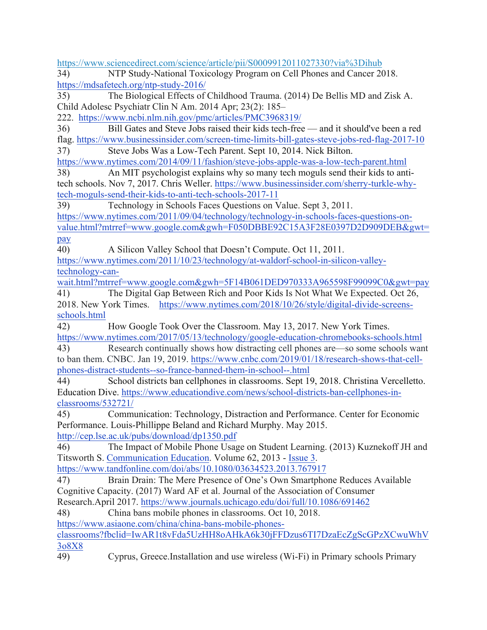https://www.sciencedirect.com/science/article/pii/S0009912011027330?via%3Dihub 34) NTP Study-National Toxicology Program on Cell Phones and Cancer 2018. https://mdsafetech.org/ntp-study-2016/ 35) The Biological Effects of Childhood Trauma. (2014) De Bellis MD and Zisk A. Child Adolesc Psychiatr Clin N Am. 2014 Apr; 23(2): 185– 222. https://www.ncbi.nlm.nih.gov/pmc/articles/PMC3968319/ 36) Bill Gates and Steve Jobs raised their kids tech-free — and it should've been a red flag. https://www.businessinsider.com/screen-time-limits-bill-gates-steve-jobs-red-flag-2017-10 37) Steve Jobs Was a Low-Tech Parent. Sept 10, 2014. Nick Bilton. https://www.nytimes.com/2014/09/11/fashion/steve-jobs-apple-was-a-low-tech-parent.html 38) An MIT psychologist explains why so many tech moguls send their kids to antitech schools. Nov 7, 2017. Chris Weller. https://www.businessinsider.com/sherry-turkle-whytech-moguls-send-their-kids-to-anti-tech-schools-2017-11 39) Technology in Schools Faces Questions on Value. Sept 3, 2011. https://www.nytimes.com/2011/09/04/technology/technology-in-schools-faces-questions-onvalue.html?mtrref=www.google.com&gwh=F050DBBE92C15A3F28E0397D2D909DEB&gwt= pay 40) A Silicon Valley School that Doesn't Compute. Oct 11, 2011. https://www.nytimes.com/2011/10/23/technology/at-waldorf-school-in-silicon-valleytechnology-canwait.html?mtrref=www.google.com&gwh=5F14B061DED970333A965598F99099C0&gwt=pay 41) The Digital Gap Between Rich and Poor Kids Is Not What We Expected. Oct 26, 2018. New York Times. https://www.nytimes.com/2018/10/26/style/digital-divide-screensschools.html 42) How Google Took Over the Classroom. May 13, 2017. New York Times. https://www.nytimes.com/2017/05/13/technology/google-education-chromebooks-schools.html 43) Research continually shows how distracting cell phones are—so some schools want to ban them. CNBC. Jan 19, 2019. https://www.cnbc.com/2019/01/18/research-shows-that-cellphones-distract-students--so-france-banned-them-in-school--.html 44) School districts ban cellphones in classrooms. Sept 19, 2018. Christina Vercelletto. Education Dive. https://www.educationdive.com/news/school-districts-ban-cellphones-inclassrooms/532721/ 45) Communication: Technology, Distraction and Performance. Center for Economic Performance. Louis-Phillippe Beland and Richard Murphy. May 2015. http://cep.lse.ac.uk/pubs/download/dp1350.pdf 46) The Impact of Mobile Phone Usage on Student Learning. (2013) Kuznekoff JH and Titsworth S. Communication Education. Volume 62, 2013 - Issue 3. https://www.tandfonline.com/doi/abs/10.1080/03634523.2013.767917 47) Brain Drain: The Mere Presence of One's Own Smartphone Reduces Available Cognitive Capacity. (2017) Ward AF et al. Journal of the Association of Consumer Research.April 2017. https://www.journals.uchicago.edu/doi/full/10.1086/691462 48) China bans mobile phones in classrooms. Oct 10, 2018. https://www.asiaone.com/china/china-bans-mobile-phonesclassrooms?fbclid=IwAR1t8vFda5UzHH8oAHkA6k30jFFDzus6TI7DzaEcZgScGPzXCwuWhV 3o8X8 49) Cyprus, Greece.Installation and use wireless (Wi-Fi) in Primary schools Primary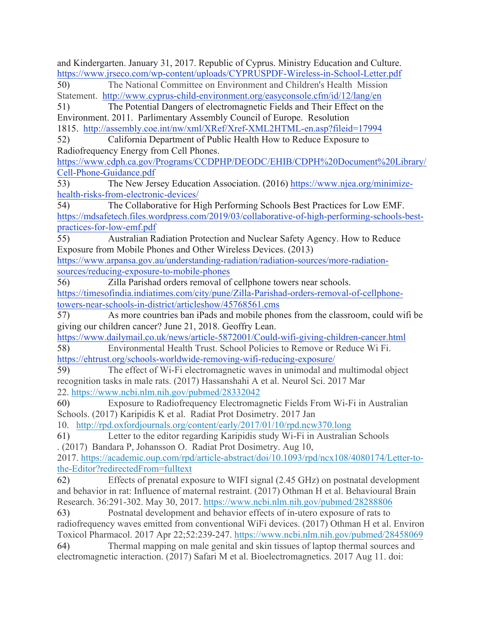and Kindergarten. January 31, 2017. Republic of Cyprus. Ministry Education and Culture. https://www.jrseco.com/wp-content/uploads/CYPRUSPDF-Wireless-in-School-Letter.pdf 50) The National Committee on Environment and Children's Health Mission Statement. http://www.cyprus-child-environment.org/easyconsole.cfm/id/12/lang/en 51) The Potential Dangers of electromagnetic Fields and Their Effect on the Environment. 2011. Parlimentary Assembly Council of Europe. Resolution 1815. http://assembly.coe.int/nw/xml/XRef/Xref-XML2HTML-en.asp?fileid=17994 52) California Department of Public Health How to Reduce Exposure to Radiofrequency Energy from Cell Phones. https://www.cdph.ca.gov/Programs/CCDPHP/DEODC/EHIB/CDPH%20Document%20Library/ Cell-Phone-Guidance.pdf 53) The New Jersey Education Association. (2016) https://www.njea.org/minimizehealth-risks-from-electronic-devices/ 54) The Collaborative for High Performing Schools Best Practices for Low EMF. https://mdsafetech.files.wordpress.com/2019/03/collaborative-of-high-performing-schools-bestpractices-for-low-emf.pdf 55) Australian Radiation Protection and Nuclear Safety Agency. How to Reduce Exposure from Mobile Phones and Other Wireless Devices. (2013) https://www.arpansa.gov.au/understanding-radiation/radiation-sources/more-radiationsources/reducing-exposure-to-mobile-phones 56) Zilla Parishad orders removal of cellphone towers near schools. https://timesofindia.indiatimes.com/city/pune/Zilla-Parishad-orders-removal-of-cellphonetowers-near-schools-in-district/articleshow/45768561.cms 57) As more countries ban iPads and mobile phones from the classroom, could wifi be giving our children cancer? June 21, 2018. Geoffry Lean. https://www.dailymail.co.uk/news/article-5872001/Could-wifi-giving-children-cancer.html 58) Environmental Health Trust. School Policies to Remove or Reduce Wi Fi. https://ehtrust.org/schools-worldwide-removing-wifi-reducing-exposure/ 59) The effect of Wi-Fi electromagnetic waves in unimodal and multimodal object recognition tasks in male rats. (2017) Hassanshahi A et al. Neurol Sci. 2017 Mar 22. https://www.ncbi.nlm.nih.gov/pubmed/28332042 60) Exposure to Radiofrequency Electromagnetic Fields From Wi-Fi in Australian Schools. (2017) Karipidis K et al. Radiat Prot Dosimetry. 2017 Jan 10. http://rpd.oxfordjournals.org/content/early/2017/01/10/rpd.ncw370.long 61) Letter to the editor regarding Karipidis study Wi-Fi in Australian Schools . (2017) Bandara P, Johansson O. Radiat Prot Dosimetry. Aug 10, 2017. https://academic.oup.com/rpd/article-abstract/doi/10.1093/rpd/ncx108/4080174/Letter-tothe-Editor?redirectedFrom=fulltext 62) Effects of prenatal exposure to WIFI signal (2.45 GHz) on postnatal development and behavior in rat: Influence of maternal restraint. (2017) Othman H et al. Behavioural Brain Research. 36:291-302. May 30, 2017. https://www.ncbi.nlm.nih.gov/pubmed/28288806 63) Postnatal development and behavior effects of in-utero exposure of rats to radiofrequency waves emitted from conventional WiFi devices. (2017) Othman H et al. Environ Toxicol Pharmacol. 2017 Apr 22;52:239-247. https://www.ncbi.nlm.nih.gov/pubmed/28458069 64) Thermal mapping on male genital and skin tissues of laptop thermal sources and electromagnetic interaction. (2017) Safari M et al. Bioelectromagnetics. 2017 Aug 11. doi: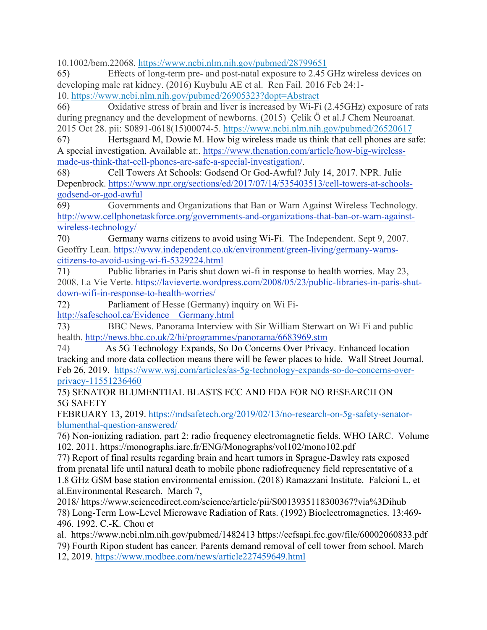10.1002/bem.22068. https://www.ncbi.nlm.nih.gov/pubmed/28799651

65) Effects of long-term pre- and post-natal exposure to 2.45 GHz wireless devices on developing male rat kidney. (2016) Kuybulu AE et al. Ren Fail. 2016 Feb 24:1- 10. https://www.ncbi.nlm.nih.gov/pubmed/26905323?dopt=Abstract

66) Oxidative stress of brain and liver is increased by Wi-Fi (2.45GHz) exposure of rats during pregnancy and the development of newborns. (2015) Çelik Ö et al.J Chem Neuroanat. 2015 Oct 28. pii: S0891-0618(15)00074-5. https://www.ncbi.nlm.nih.gov/pubmed/26520617

67) Hertsgaard M, Dowie M. How big wireless made us think that cell phones are safe: A special investigation. Available at:. https://www.thenation.com/article/how-big-wirelessmade-us-think-that-cell-phones-are-safe-a-special-investigation/.

68) Cell Towers At Schools: Godsend Or God-Awful? July 14, 2017. NPR. Julie Depenbrock. https://www.npr.org/sections/ed/2017/07/14/535403513/cell-towers-at-schoolsgodsend-or-god-awful

69) Governments and Organizations that Ban or Warn Against Wireless Technology. http://www.cellphonetaskforce.org/governments-and-organizations-that-ban-or-warn-againstwireless-technology/

70) Germany warns citizens to avoid using Wi-Fi. The Independent. Sept 9, 2007. Geoffry Lean. https://www.independent.co.uk/environment/green-living/germany-warnscitizens-to-avoid-using-wi-fi-5329224.html

71) Public libraries in Paris shut down wi-fi in response to health worries. May 23, 2008. La Vie Verte. https://lavieverte.wordpress.com/2008/05/23/public-libraries-in-paris-shutdown-wifi-in-response-to-health-worries/

72) Parliament of Hesse (Germany) inquiry on Wi Fi-

http://safeschool.ca/Evidence\_\_Germany.html

73) BBC News. Panorama Interview with Sir William Sterwart on Wi Fi and public health. http://news.bbc.co.uk/2/hi/programmes/panorama/6683969.stm

74) As 5G Technology Expands, So Do Concerns Over Privacy. Enhanced location tracking and more data collection means there will be fewer places to hide. Wall Street Journal. Feb 26, 2019. https://www.wsj.com/articles/as-5g-technology-expands-so-do-concerns-overprivacy-11551236460

75) SENATOR BLUMENTHAL BLASTS FCC AND FDA FOR NO RESEARCH ON 5G SAFETY

FEBRUARY 13, 2019. https://mdsafetech.org/2019/02/13/no-research-on-5g-safety-senatorblumenthal-question-answered/

76) Non-ionizing radiation, part 2: radio frequency electromagnetic fields. WHO IARC. Volume 102. 2011. https://monographs.iarc.fr/ENG/Monographs/vol102/mono102.pdf

77) Report of final results regarding brain and heart tumors in Sprague-Dawley rats exposed from prenatal life until natural death to mobile phone radiofrequency field representative of a 1.8 GHz GSM base station environmental emission. (2018) Ramazzani Institute. Falcioni L, et al.Environmental Research. March 7,

2018/ https://www.sciencedirect.com/science/article/pii/S0013935118300367?via%3Dihub 78) Long-Term Low-Level Microwave Radiation of Rats. (1992) Bioelectromagnetics. 13:469- 496. 1992. C.-K. Chou et

al. https://www.ncbi.nlm.nih.gov/pubmed/1482413 https://ecfsapi.fcc.gov/file/60002060833.pdf 79) Fourth Ripon student has cancer. Parents demand removal of cell tower from school. March

12, 2019. https://www.modbee.com/news/article227459649.html